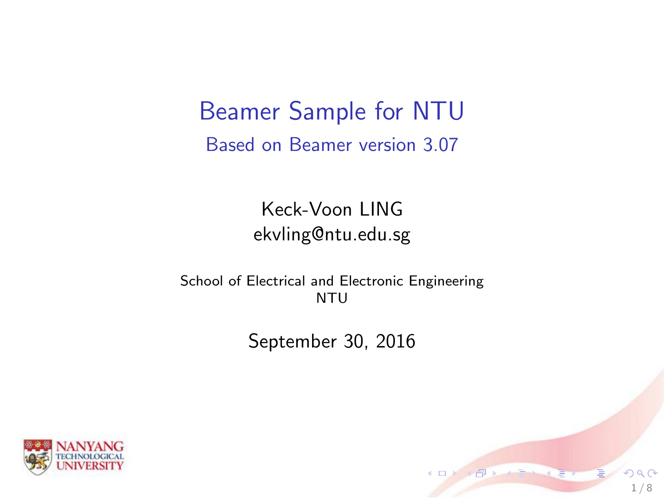Beamer Sample for NTU Based on Beamer version 3.07

> Keck-Voon LING ekvling@ntu.edu.sg

School of Electrical and Electronic Engineering **NTU** 

September 30, 2016

1 / 8

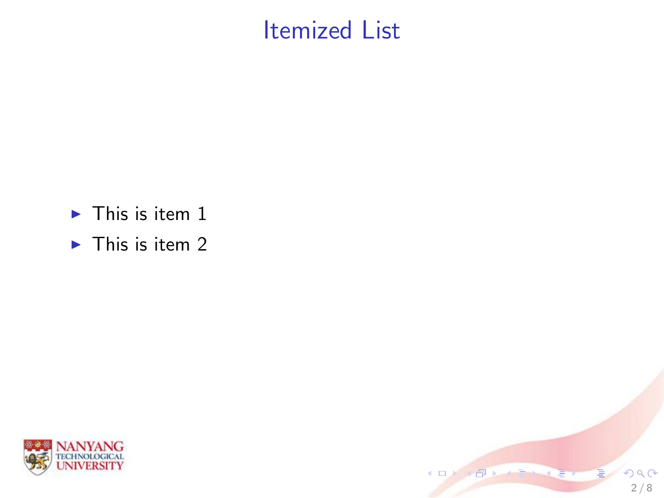#### Itemized List

 $2/8$ 

 $290$ 

(ロ) ( )

- $\blacktriangleright$  This is item 1
- $\blacktriangleright$  This is item 2

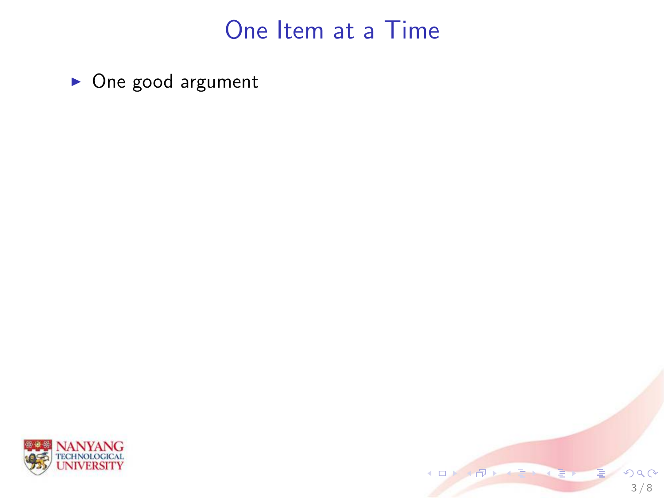#### One Item at a Time

 $\blacktriangleright$  One good argument



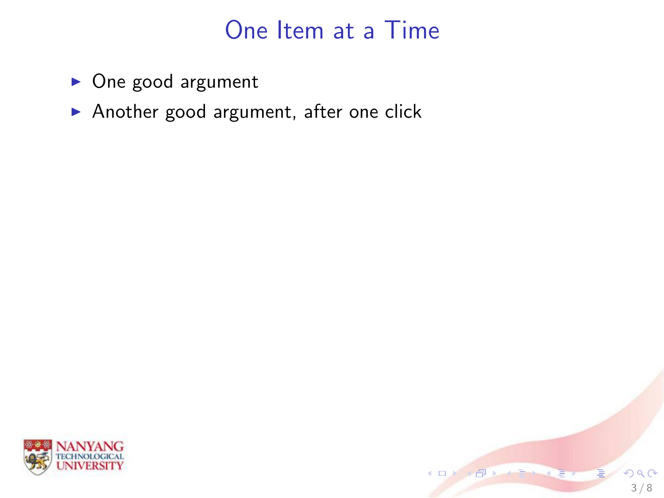#### One Item at a Time

- $\triangleright$  One good argument
- Another good argument, after one click



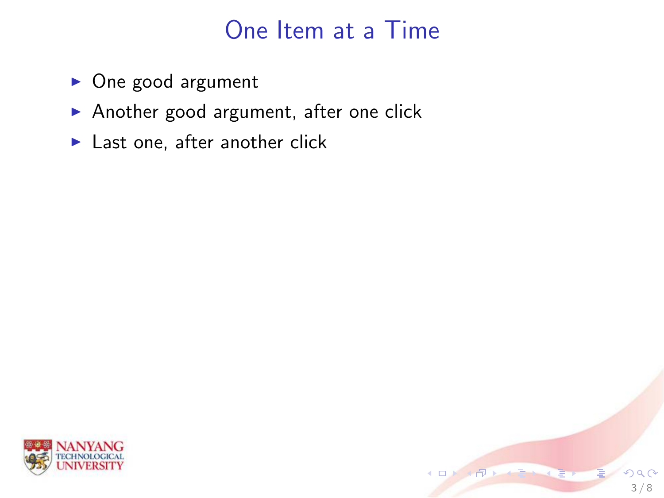#### One Item at a Time

3 / 8

- $\triangleright$  One good argument
- Another good argument, after one click
- $\blacktriangleright$  Last one, after another click

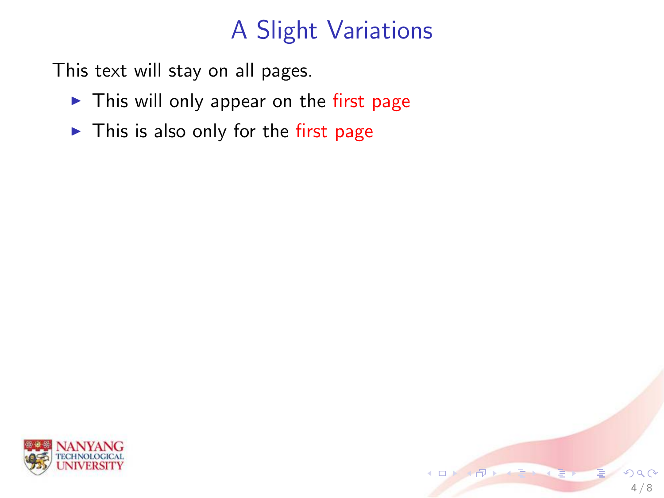# A Slight Variations

This text will stay on all pages.

- $\blacktriangleright$  This will only appear on the first page
- $\blacktriangleright$  This is also only for the first page



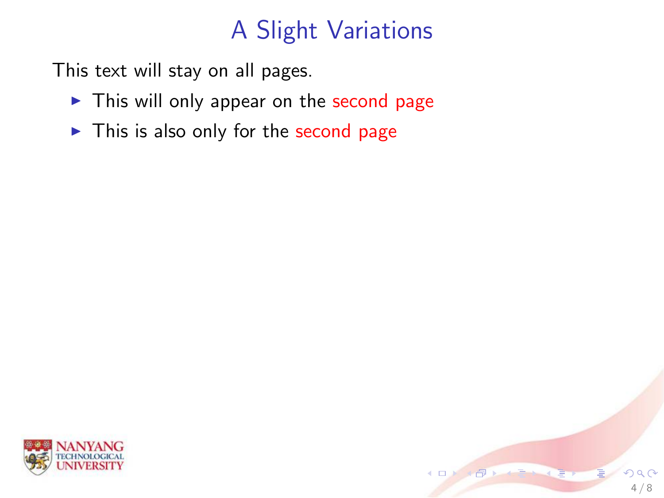# A Slight Variations

This text will stay on all pages.

- $\blacktriangleright$  This will only appear on the second page
- $\blacktriangleright$  This is also only for the second page



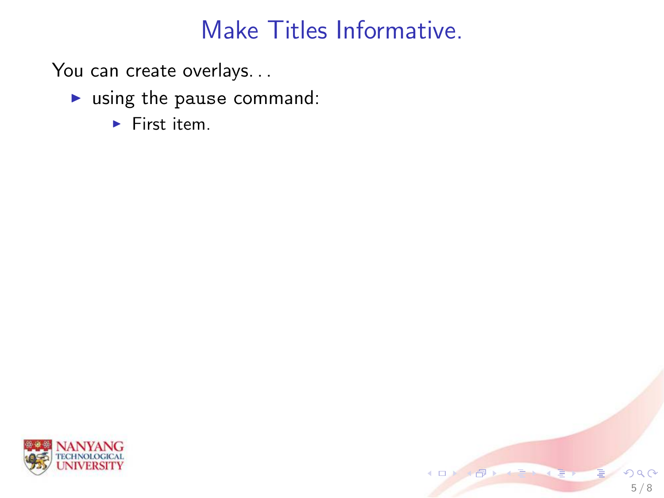- $\blacktriangleright$  using the pause command:
	- $\blacktriangleright$  First item.



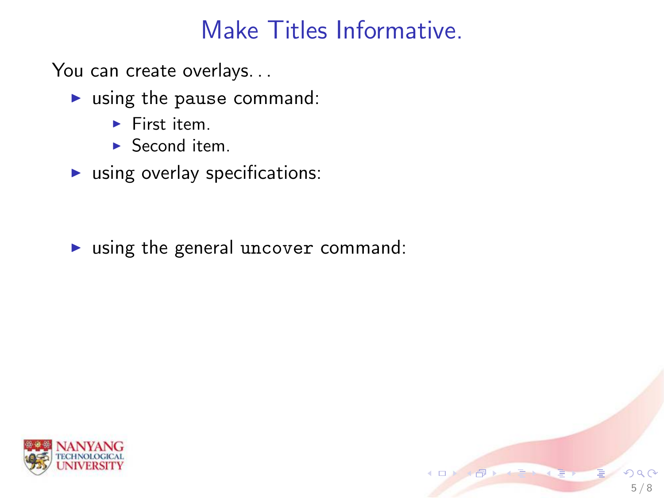5 / 8

You can create overlays...

- $\blacktriangleright$  using the pause command:
	- $\blacktriangleright$  First item.
	- $\blacktriangleright$  Second item.
- $\blacktriangleright$  using overlay specifications:

 $\triangleright$  using the general uncover command:

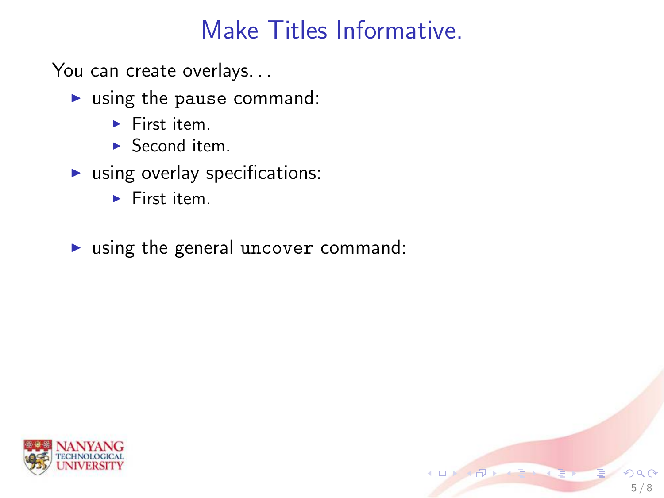5 / 8

- $\blacktriangleright$  using the pause command:
	- $\blacktriangleright$  First item.
	- $\blacktriangleright$  Second item.
- $\blacktriangleright$  using overlay specifications:
	- $\blacktriangleright$  First item.
- $\triangleright$  using the general uncover command:

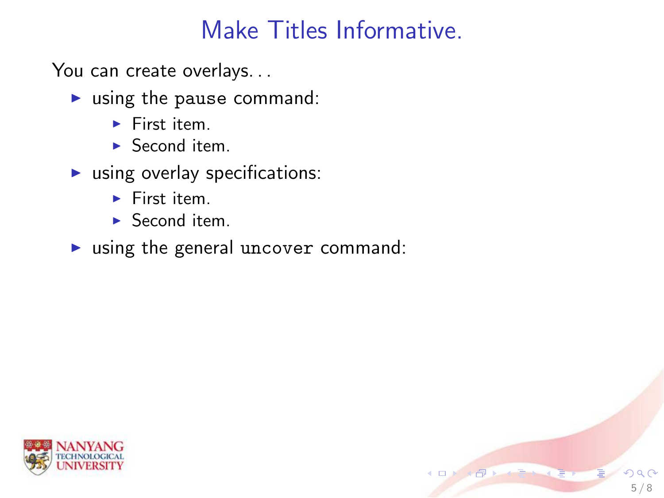5 / 8

- $\blacktriangleright$  using the pause command:
	- $\blacktriangleright$  First item.
	- $\blacktriangleright$  Second item.
- $\blacktriangleright$  using overlay specifications:
	- $\blacktriangleright$  First item.
	- $\blacktriangleright$  Second item.
- $\triangleright$  using the general uncover command:

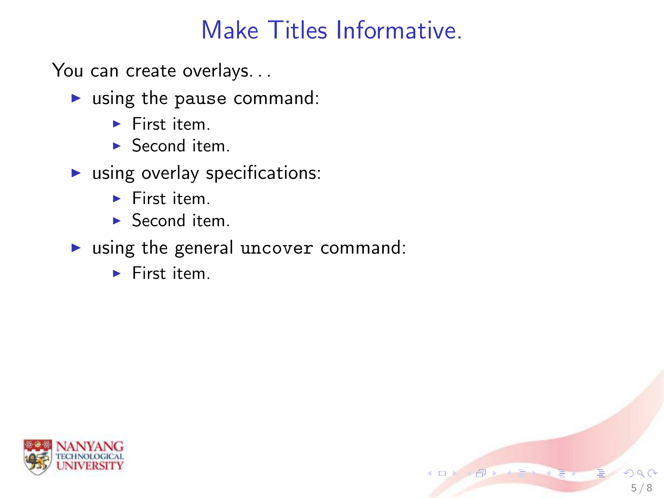5 / 8

- $\blacktriangleright$  using the pause command:
	- $\blacktriangleright$  First item.
	- $\blacktriangleright$  Second item.
- $\blacktriangleright$  using overlay specifications:
	- $\blacktriangleright$  First item.
	- $\blacktriangleright$  Second item.
- $\triangleright$  using the general uncover command:
	- $\blacktriangleright$  First item.

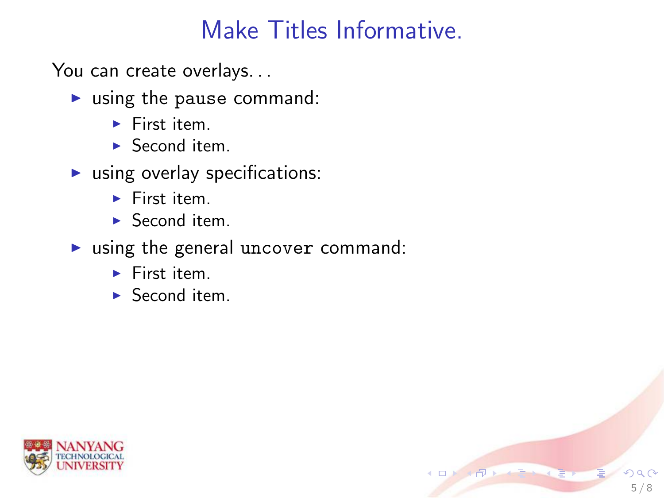5 / 8

- $\blacktriangleright$  using the pause command:
	- $\blacktriangleright$  First item.
	- $\blacktriangleright$  Second item.
- $\blacktriangleright$  using overlay specifications:
	- $\blacktriangleright$  First item.
	- $\blacktriangleright$  Second item.
- $\triangleright$  using the general uncover command:
	- $\blacktriangleright$  First item.
	- $\blacktriangleright$  Second item.

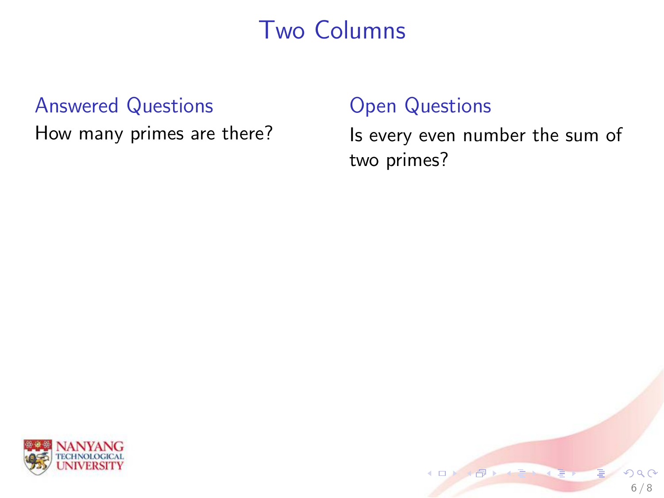#### Two Columns

#### Answered Questions

How many primes are there?

#### Open Questions

Is every even number the sum of two primes?



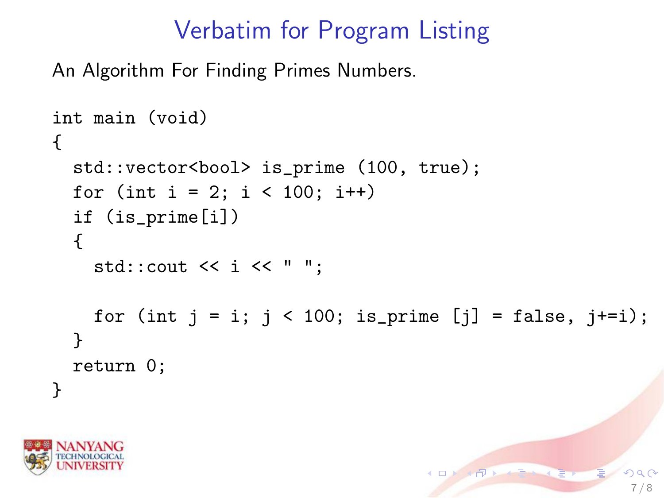# Verbatim for Program Listing

An Algorithm For Finding Primes Numbers.

```
int main (void)
{
  std::vector<bool> is_prime (100, true);
  for (int i = 2; i < 100; i++)if (is_prime[i])
  {
    std::\text{cout} \leq i \leq \lceil \cdot \rceil ":
    for (int j = i; j < 100; is_prime [j] = false, j+=i);
  }
  return 0;
}
```
7 / 8

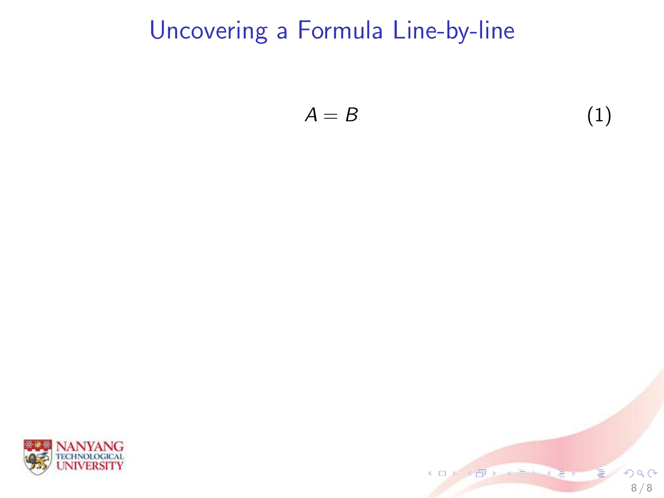$$
A = B \tag{1}
$$



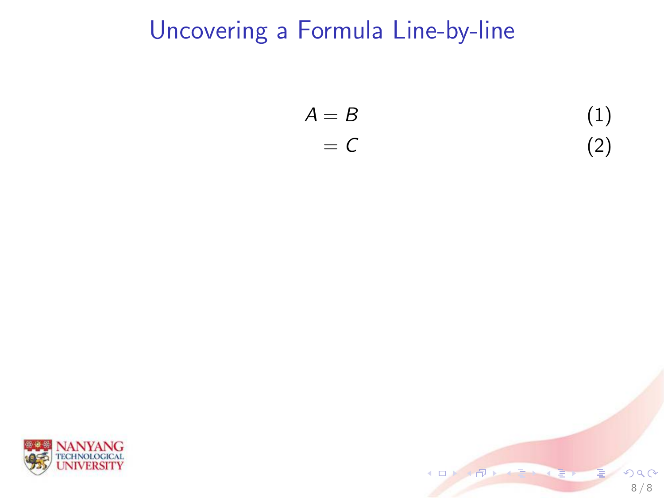$$
A = B
$$
  
= C (1)  
(2)



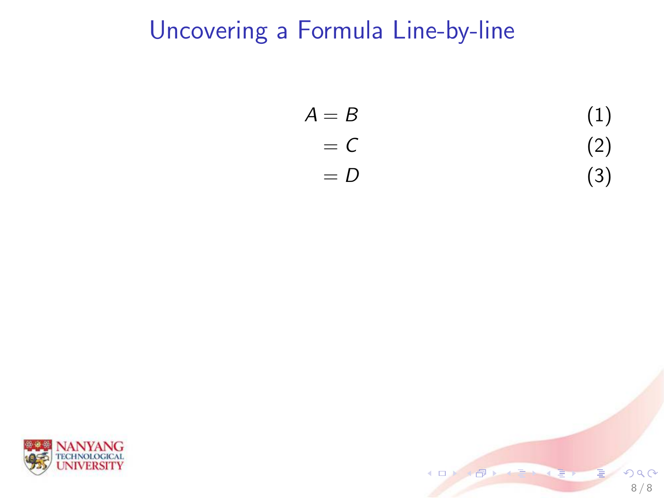$$
A = B
$$
  
\n
$$
= C
$$
  
\n
$$
= D
$$
  
\n(1)  
\n(2)  
\n(3)